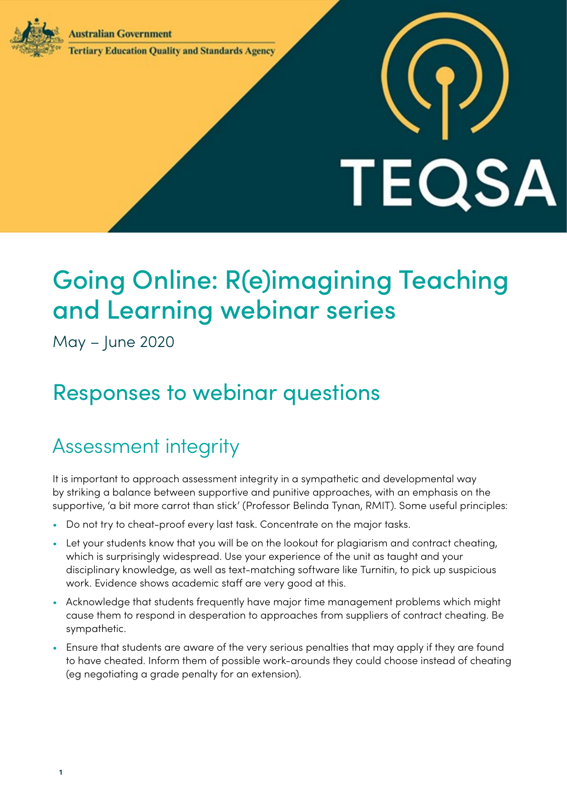**Australian Government** 



### **Tertiary Education Ouality and Standards Agency**

# **TEQSA**

# Going Online: R(e)imagining Teaching and Learning webinar series

May – June 2020

# Responses to webinar questions

## Assessment integrity

It is important to approach assessment integrity in a sympathetic and developmental way by striking a balance between supportive and punitive approaches, with an emphasis on the supportive, 'a bit more carrot than stick' (Professor Belinda Tynan, RMIT). Some useful principles:

- Do not try to cheat-proof every last task. Concentrate on the major tasks.
- Let your students know that you will be on the lookout for plagiarism and contract cheating, which is surprisingly widespread. Use your experience of the unit as taught and your disciplinary knowledge, as well as text-matching software like Turnitin, to pick up suspicious work. Evidence shows academic staff are very good at this.
- Acknowledge that students frequently have major time management problems which might cause them to respond in desperation to approaches from suppliers of contract cheating. Be sympathetic.
- Ensure that students are aware of the very serious penalties that may apply if they are found to have cheated. Inform them of possible work-arounds they could choose instead of cheating (eg negotiating a grade penalty for an extension).